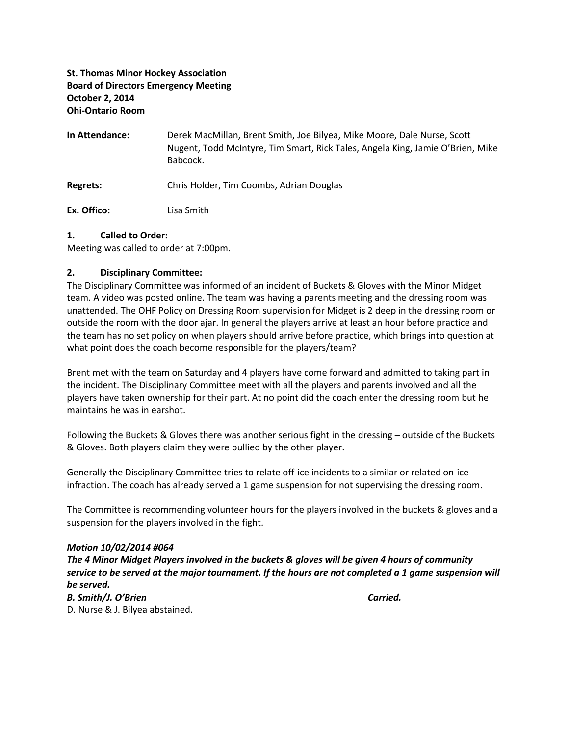## St. Thomas Minor Hockey Association Board of Directors Emergency Meeting October 2, 2014 Ohi-Ontario Room

| In Attendance: | Derek MacMillan, Brent Smith, Joe Bilyea, Mike Moore, Dale Nurse, Scott<br>Nugent, Todd McIntyre, Tim Smart, Rick Tales, Angela King, Jamie O'Brien, Mike<br>Babcock. |
|----------------|-----------------------------------------------------------------------------------------------------------------------------------------------------------------------|
| Regrets:       | Chris Holder, Tim Coombs, Adrian Douglas                                                                                                                              |

Ex. Offico: Lisa Smith

### 1. Called to Order:

Meeting was called to order at 7:00pm.

### 2. Disciplinary Committee:

The Disciplinary Committee was informed of an incident of Buckets & Gloves with the Minor Midget team. A video was posted online. The team was having a parents meeting and the dressing room was unattended. The OHF Policy on Dressing Room supervision for Midget is 2 deep in the dressing room or outside the room with the door ajar. In general the players arrive at least an hour before practice and the team has no set policy on when players should arrive before practice, which brings into question at what point does the coach become responsible for the players/team?

Brent met with the team on Saturday and 4 players have come forward and admitted to taking part in the incident. The Disciplinary Committee meet with all the players and parents involved and all the players have taken ownership for their part. At no point did the coach enter the dressing room but he maintains he was in earshot.

Following the Buckets & Gloves there was another serious fight in the dressing – outside of the Buckets & Gloves. Both players claim they were bullied by the other player.

Generally the Disciplinary Committee tries to relate off-ice incidents to a similar or related on-ice infraction. The coach has already served a 1 game suspension for not supervising the dressing room.

The Committee is recommending volunteer hours for the players involved in the buckets & gloves and a suspension for the players involved in the fight.

### Motion 10/02/2014 #064

The 4 Minor Midget Players involved in the buckets & gloves will be given 4 hours of community service to be served at the major tournament. If the hours are not completed a 1 game suspension will be served. B. Smith/J. O'Brien Carried.

D. Nurse & J. Bilyea abstained.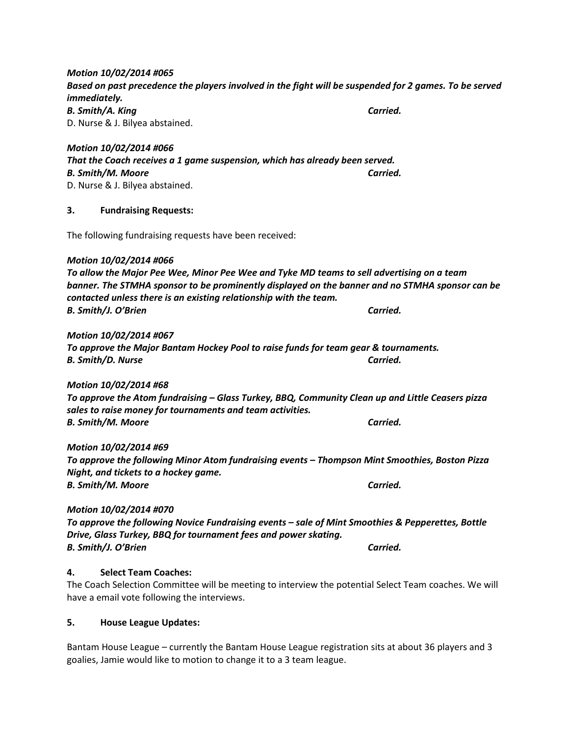# immediately. B. Smith/A. King Carried. D. Nurse & J. Bilyea abstained. Motion 10/02/2014 #066 That the Coach receives a 1 game suspension, which has already been served. B. Smith/M. Moore Carried. D. Nurse & J. Bilyea abstained. 3. Fundraising Requests: The following fundraising requests have been received: Motion 10/02/2014 #066 To allow the Major Pee Wee, Minor Pee Wee and Tyke MD teams to sell advertising on a team banner. The STMHA sponsor to be prominently displayed on the banner and no STMHA sponsor can be contacted unless there is an existing relationship with the team. B. Smith/J. O'Brien Carried. Motion 10/02/2014 #067 To approve the Major Bantam Hockey Pool to raise funds for team gear & tournaments. B. Smith/D. Nurse Carried. Motion 10/02/2014 #68 To approve the Atom fundraising – Glass Turkey, BBQ, Community Clean up and Little Ceasers pizza sales to raise money for tournaments and team activities. B. Smith/M. Moore **Carried.** Motion 10/02/2014 #69 To approve the following Minor Atom fundraising events – Thompson Mint Smoothies, Boston Pizza Night, and tickets to a hockey game. B. Smith/M. Moore **Carried.** Motion 10/02/2014 #070 To approve the following Novice Fundraising events – sale of Mint Smoothies & Pepperettes, Bottle Drive, Glass Turkey, BBQ for tournament fees and power skating. B. Smith/J. O'Brien Carried.

Based on past precedence the players involved in the fight will be suspended for 2 games. To be served

## 4. Select Team Coaches:

Motion 10/02/2014 #065

The Coach Selection Committee will be meeting to interview the potential Select Team coaches. We will have a email vote following the interviews.

## 5. House League Updates:

Bantam House League – currently the Bantam House League registration sits at about 36 players and 3 goalies, Jamie would like to motion to change it to a 3 team league.